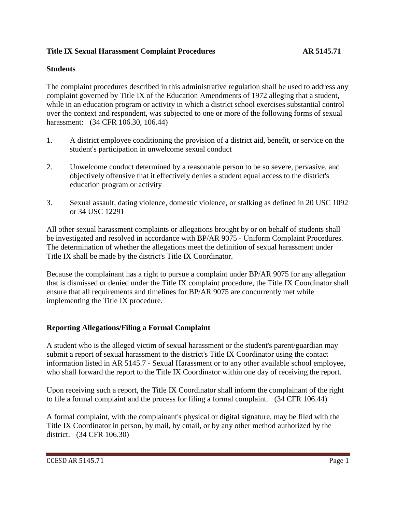## **Title IX Sexual Harassment Complaint Procedures AR 5145.71**

#### **Students**

The complaint procedures described in this administrative regulation shall be used to address any complaint governed by Title IX of the Education Amendments of 1972 alleging that a student, while in an education program or activity in which a district school exercises substantial control over the context and respondent, was subjected to one or more of the following forms of sexual harassment: (34 CFR 106.30, 106.44)

- 1. A district employee conditioning the provision of a district aid, benefit, or service on the student's participation in unwelcome sexual conduct
- 2. Unwelcome conduct determined by a reasonable person to be so severe, pervasive, and objectively offensive that it effectively denies a student equal access to the district's education program or activity
- 3. Sexual assault, dating violence, domestic violence, or stalking as defined in 20 USC 1092 or 34 USC 12291

All other sexual harassment complaints or allegations brought by or on behalf of students shall be investigated and resolved in accordance with BP/AR 9075 - Uniform Complaint Procedures. The determination of whether the allegations meet the definition of sexual harassment under Title IX shall be made by the district's Title IX Coordinator.

Because the complainant has a right to pursue a complaint under BP/AR 9075 for any allegation that is dismissed or denied under the Title IX complaint procedure, the Title IX Coordinator shall ensure that all requirements and timelines for BP/AR 9075 are concurrently met while implementing the Title IX procedure.

#### **Reporting Allegations/Filing a Formal Complaint**

A student who is the alleged victim of sexual harassment or the student's parent/guardian may submit a report of sexual harassment to the district's Title IX Coordinator using the contact information listed in AR 5145.7 - Sexual Harassment or to any other available school employee, who shall forward the report to the Title IX Coordinator within one day of receiving the report.

Upon receiving such a report, the Title IX Coordinator shall inform the complainant of the right to file a formal complaint and the process for filing a formal complaint. (34 CFR 106.44)

A formal complaint, with the complainant's physical or digital signature, may be filed with the Title IX Coordinator in person, by mail, by email, or by any other method authorized by the district. (34 CFR 106.30)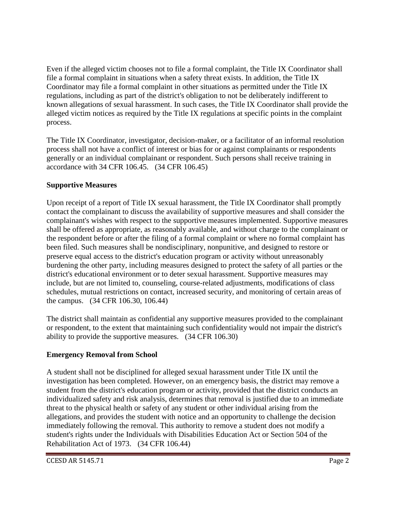Even if the alleged victim chooses not to file a formal complaint, the Title IX Coordinator shall file a formal complaint in situations when a safety threat exists. In addition, the Title IX Coordinator may file a formal complaint in other situations as permitted under the Title IX regulations, including as part of the district's obligation to not be deliberately indifferent to known allegations of sexual harassment. In such cases, the Title IX Coordinator shall provide the alleged victim notices as required by the Title IX regulations at specific points in the complaint process.

The Title IX Coordinator, investigator, decision-maker, or a facilitator of an informal resolution process shall not have a conflict of interest or bias for or against complainants or respondents generally or an individual complainant or respondent. Such persons shall receive training in accordance with 34 CFR 106.45. (34 CFR 106.45)

## **Supportive Measures**

Upon receipt of a report of Title IX sexual harassment, the Title IX Coordinator shall promptly contact the complainant to discuss the availability of supportive measures and shall consider the complainant's wishes with respect to the supportive measures implemented. Supportive measures shall be offered as appropriate, as reasonably available, and without charge to the complainant or the respondent before or after the filing of a formal complaint or where no formal complaint has been filed. Such measures shall be nondisciplinary, nonpunitive, and designed to restore or preserve equal access to the district's education program or activity without unreasonably burdening the other party, including measures designed to protect the safety of all parties or the district's educational environment or to deter sexual harassment. Supportive measures may include, but are not limited to, counseling, course-related adjustments, modifications of class schedules, mutual restrictions on contact, increased security, and monitoring of certain areas of the campus. (34 CFR 106.30, 106.44)

The district shall maintain as confidential any supportive measures provided to the complainant or respondent, to the extent that maintaining such confidentiality would not impair the district's ability to provide the supportive measures. (34 CFR 106.30)

## **Emergency Removal from School**

A student shall not be disciplined for alleged sexual harassment under Title IX until the investigation has been completed. However, on an emergency basis, the district may remove a student from the district's education program or activity, provided that the district conducts an individualized safety and risk analysis, determines that removal is justified due to an immediate threat to the physical health or safety of any student or other individual arising from the allegations, and provides the student with notice and an opportunity to challenge the decision immediately following the removal. This authority to remove a student does not modify a student's rights under the Individuals with Disabilities Education Act or Section 504 of the Rehabilitation Act of 1973. (34 CFR 106.44)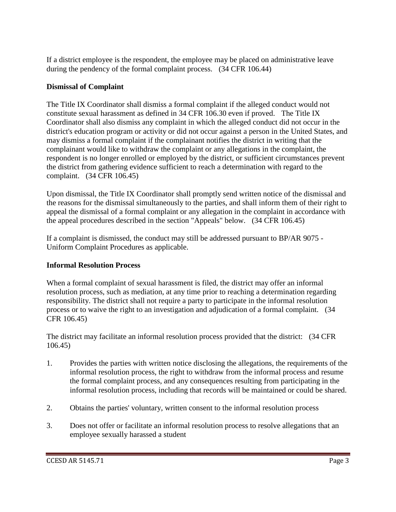If a district employee is the respondent, the employee may be placed on administrative leave during the pendency of the formal complaint process. (34 CFR 106.44)

## **Dismissal of Complaint**

The Title IX Coordinator shall dismiss a formal complaint if the alleged conduct would not constitute sexual harassment as defined in 34 CFR 106.30 even if proved. The Title IX Coordinator shall also dismiss any complaint in which the alleged conduct did not occur in the district's education program or activity or did not occur against a person in the United States, and may dismiss a formal complaint if the complainant notifies the district in writing that the complainant would like to withdraw the complaint or any allegations in the complaint, the respondent is no longer enrolled or employed by the district, or sufficient circumstances prevent the district from gathering evidence sufficient to reach a determination with regard to the complaint. (34 CFR 106.45)

Upon dismissal, the Title IX Coordinator shall promptly send written notice of the dismissal and the reasons for the dismissal simultaneously to the parties, and shall inform them of their right to appeal the dismissal of a formal complaint or any allegation in the complaint in accordance with the appeal procedures described in the section "Appeals" below. (34 CFR 106.45)

If a complaint is dismissed, the conduct may still be addressed pursuant to BP/AR 9075 - Uniform Complaint Procedures as applicable.

## **Informal Resolution Process**

When a formal complaint of sexual harassment is filed, the district may offer an informal resolution process, such as mediation, at any time prior to reaching a determination regarding responsibility. The district shall not require a party to participate in the informal resolution process or to waive the right to an investigation and adjudication of a formal complaint. (34 CFR 106.45)

The district may facilitate an informal resolution process provided that the district: (34 CFR 106.45)

- 1. Provides the parties with written notice disclosing the allegations, the requirements of the informal resolution process, the right to withdraw from the informal process and resume the formal complaint process, and any consequences resulting from participating in the informal resolution process, including that records will be maintained or could be shared.
- 2. Obtains the parties' voluntary, written consent to the informal resolution process
- 3. Does not offer or facilitate an informal resolution process to resolve allegations that an employee sexually harassed a student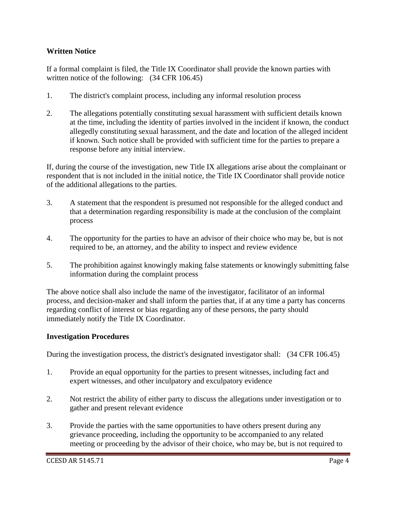### **Written Notice**

If a formal complaint is filed, the Title IX Coordinator shall provide the known parties with written notice of the following: (34 CFR 106.45)

- 1. The district's complaint process, including any informal resolution process
- 2. The allegations potentially constituting sexual harassment with sufficient details known at the time, including the identity of parties involved in the incident if known, the conduct allegedly constituting sexual harassment, and the date and location of the alleged incident if known. Such notice shall be provided with sufficient time for the parties to prepare a response before any initial interview.

If, during the course of the investigation, new Title IX allegations arise about the complainant or respondent that is not included in the initial notice, the Title IX Coordinator shall provide notice of the additional allegations to the parties.

- 3. A statement that the respondent is presumed not responsible for the alleged conduct and that a determination regarding responsibility is made at the conclusion of the complaint process
- 4. The opportunity for the parties to have an advisor of their choice who may be, but is not required to be, an attorney, and the ability to inspect and review evidence
- 5. The prohibition against knowingly making false statements or knowingly submitting false information during the complaint process

The above notice shall also include the name of the investigator, facilitator of an informal process, and decision-maker and shall inform the parties that, if at any time a party has concerns regarding conflict of interest or bias regarding any of these persons, the party should immediately notify the Title IX Coordinator.

#### **Investigation Procedures**

During the investigation process, the district's designated investigator shall: (34 CFR 106.45)

- 1. Provide an equal opportunity for the parties to present witnesses, including fact and expert witnesses, and other inculpatory and exculpatory evidence
- 2. Not restrict the ability of either party to discuss the allegations under investigation or to gather and present relevant evidence
- 3. Provide the parties with the same opportunities to have others present during any grievance proceeding, including the opportunity to be accompanied to any related meeting or proceeding by the advisor of their choice, who may be, but is not required to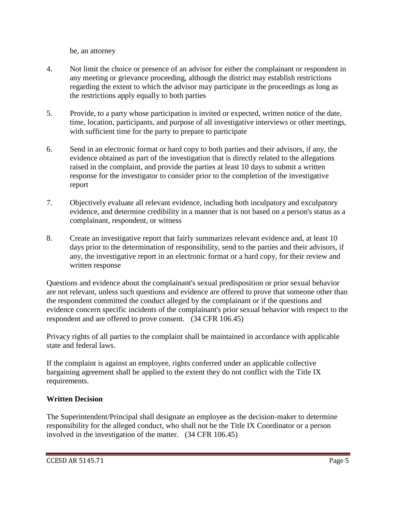be, an attorney

- 4. Not limit the choice or presence of an advisor for either the complainant or respondent in any meeting or grievance proceeding, although the district may establish restrictions regarding the extent to which the advisor may participate in the proceedings as long as the restrictions apply equally to both parties
- 5. Provide, to a party whose participation is invited or expected, written notice of the date, time, location, participants, and purpose of all investigative interviews or other meetings, with sufficient time for the party to prepare to participate
- 6. Send in an electronic format or hard copy to both parties and their advisors, if any, the evidence obtained as part of the investigation that is directly related to the allegations raised in the complaint, and provide the parties at least 10 days to submit a written response for the investigator to consider prior to the completion of the investigative report
- 7. Objectively evaluate all relevant evidence, including both inculpatory and exculpatory evidence, and determine credibility in a manner that is not based on a person's status as a complainant, respondent, or witness
- 8. Create an investigative report that fairly summarizes relevant evidence and, at least 10 days prior to the determination of responsibility, send to the parties and their advisors, if any, the investigative report in an electronic format or a hard copy, for their review and written response

Questions and evidence about the complainant's sexual predisposition or prior sexual behavior are not relevant, unless such questions and evidence are offered to prove that someone other than the respondent committed the conduct alleged by the complainant or if the questions and evidence concern specific incidents of the complainant's prior sexual behavior with respect to the respondent and are offered to prove consent. (34 CFR 106.45)

Privacy rights of all parties to the complaint shall be maintained in accordance with applicable state and federal laws.

If the complaint is against an employee, rights conferred under an applicable collective bargaining agreement shall be applied to the extent they do not conflict with the Title IX requirements.

## **Written Decision**

The Superintendent/Principal shall designate an employee as the decision-maker to determine responsibility for the alleged conduct, who shall not be the Title IX Coordinator or a person involved in the investigation of the matter. (34 CFR 106.45)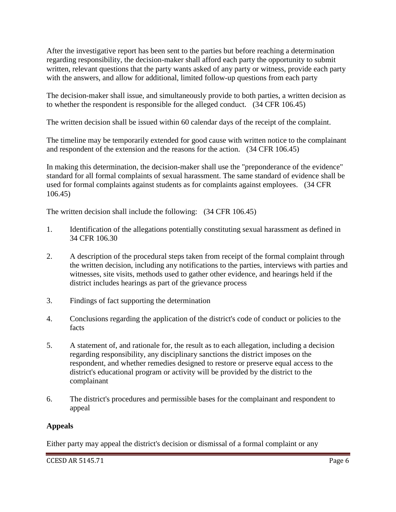After the investigative report has been sent to the parties but before reaching a determination regarding responsibility, the decision-maker shall afford each party the opportunity to submit written, relevant questions that the party wants asked of any party or witness, provide each party with the answers, and allow for additional, limited follow-up questions from each party

The decision-maker shall issue, and simultaneously provide to both parties, a written decision as to whether the respondent is responsible for the alleged conduct. (34 CFR 106.45)

The written decision shall be issued within 60 calendar days of the receipt of the complaint.

The timeline may be temporarily extended for good cause with written notice to the complainant and respondent of the extension and the reasons for the action. (34 CFR 106.45)

In making this determination, the decision-maker shall use the "preponderance of the evidence" standard for all formal complaints of sexual harassment. The same standard of evidence shall be used for formal complaints against students as for complaints against employees. (34 CFR 106.45)

The written decision shall include the following: (34 CFR 106.45)

- 1. Identification of the allegations potentially constituting sexual harassment as defined in 34 CFR 106.30
- 2. A description of the procedural steps taken from receipt of the formal complaint through the written decision, including any notifications to the parties, interviews with parties and witnesses, site visits, methods used to gather other evidence, and hearings held if the district includes hearings as part of the grievance process
- 3. Findings of fact supporting the determination
- 4. Conclusions regarding the application of the district's code of conduct or policies to the facts
- 5. A statement of, and rationale for, the result as to each allegation, including a decision regarding responsibility, any disciplinary sanctions the district imposes on the respondent, and whether remedies designed to restore or preserve equal access to the district's educational program or activity will be provided by the district to the complainant
- 6. The district's procedures and permissible bases for the complainant and respondent to appeal

## **Appeals**

Either party may appeal the district's decision or dismissal of a formal complaint or any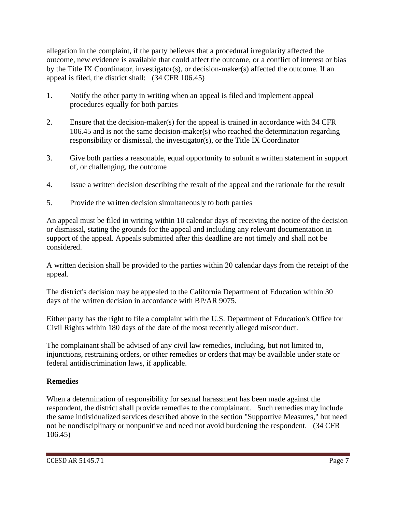allegation in the complaint, if the party believes that a procedural irregularity affected the outcome, new evidence is available that could affect the outcome, or a conflict of interest or bias by the Title IX Coordinator, investigator(s), or decision-maker(s) affected the outcome. If an appeal is filed, the district shall: (34 CFR 106.45)

- 1. Notify the other party in writing when an appeal is filed and implement appeal procedures equally for both parties
- 2. Ensure that the decision-maker(s) for the appeal is trained in accordance with 34 CFR 106.45 and is not the same decision-maker(s) who reached the determination regarding responsibility or dismissal, the investigator(s), or the Title IX Coordinator
- 3. Give both parties a reasonable, equal opportunity to submit a written statement in support of, or challenging, the outcome
- 4. Issue a written decision describing the result of the appeal and the rationale for the result
- 5. Provide the written decision simultaneously to both parties

An appeal must be filed in writing within 10 calendar days of receiving the notice of the decision or dismissal, stating the grounds for the appeal and including any relevant documentation in support of the appeal. Appeals submitted after this deadline are not timely and shall not be considered.

A written decision shall be provided to the parties within 20 calendar days from the receipt of the appeal.

The district's decision may be appealed to the California Department of Education within 30 days of the written decision in accordance with BP/AR 9075.

Either party has the right to file a complaint with the U.S. Department of Education's Office for Civil Rights within 180 days of the date of the most recently alleged misconduct.

The complainant shall be advised of any civil law remedies, including, but not limited to, injunctions, restraining orders, or other remedies or orders that may be available under state or federal antidiscrimination laws, if applicable.

# **Remedies**

When a determination of responsibility for sexual harassment has been made against the respondent, the district shall provide remedies to the complainant. Such remedies may include the same individualized services described above in the section "Supportive Measures," but need not be nondisciplinary or nonpunitive and need not avoid burdening the respondent. (34 CFR 106.45)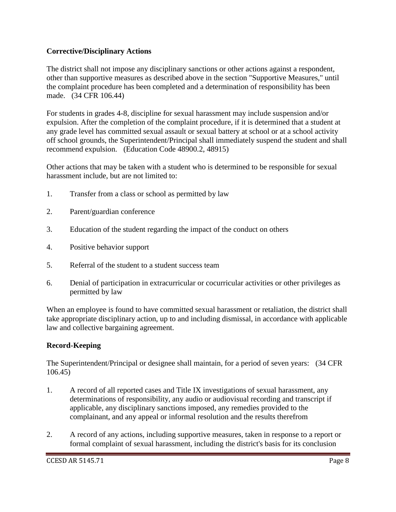## **Corrective/Disciplinary Actions**

The district shall not impose any disciplinary sanctions or other actions against a respondent, other than supportive measures as described above in the section "Supportive Measures," until the complaint procedure has been completed and a determination of responsibility has been made. (34 CFR 106.44)

For students in grades 4-8, discipline for sexual harassment may include suspension and/or expulsion. After the completion of the complaint procedure, if it is determined that a student at any grade level has committed sexual assault or sexual battery at school or at a school activity off school grounds, the Superintendent/Principal shall immediately suspend the student and shall recommend expulsion. (Education Code 48900.2, 48915)

Other actions that may be taken with a student who is determined to be responsible for sexual harassment include, but are not limited to:

- 1. Transfer from a class or school as permitted by law
- 2. Parent/guardian conference
- 3. Education of the student regarding the impact of the conduct on others
- 4. Positive behavior support
- 5. Referral of the student to a student success team
- 6. Denial of participation in extracurricular or cocurricular activities or other privileges as permitted by law

When an employee is found to have committed sexual harassment or retaliation, the district shall take appropriate disciplinary action, up to and including dismissal, in accordance with applicable law and collective bargaining agreement.

## **Record-Keeping**

The Superintendent/Principal or designee shall maintain, for a period of seven years: (34 CFR 106.45)

- 1. A record of all reported cases and Title IX investigations of sexual harassment, any determinations of responsibility, any audio or audiovisual recording and transcript if applicable, any disciplinary sanctions imposed, any remedies provided to the complainant, and any appeal or informal resolution and the results therefrom
- 2. A record of any actions, including supportive measures, taken in response to a report or formal complaint of sexual harassment, including the district's basis for its conclusion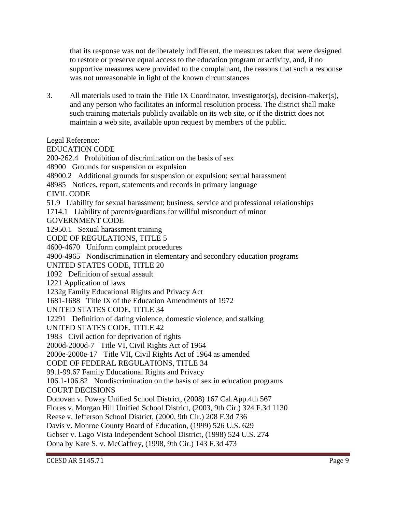that its response was not deliberately indifferent, the measures taken that were designed to restore or preserve equal access to the education program or activity, and, if no supportive measures were provided to the complainant, the reasons that such a response was not unreasonable in light of the known circumstances

3. All materials used to train the Title IX Coordinator, investigator(s), decision-maker(s), and any person who facilitates an informal resolution process. The district shall make such training materials publicly available on its web site, or if the district does not maintain a web site, available upon request by members of the public.

Legal Reference:

EDUCATION CODE 200-262.4 Prohibition of discrimination on the basis of sex 48900 Grounds for suspension or expulsion 48900.2 Additional grounds for suspension or expulsion; sexual harassment 48985 Notices, report, statements and records in primary language CIVIL CODE 51.9 Liability for sexual harassment; business, service and professional relationships 1714.1 Liability of parents/guardians for willful misconduct of minor GOVERNMENT CODE 12950.1 Sexual harassment training CODE OF REGULATIONS, TITLE 5 4600-4670 Uniform complaint procedures 4900-4965 Nondiscrimination in elementary and secondary education programs UNITED STATES CODE, TITLE 20 1092 Definition of sexual assault 1221 Application of laws 1232g Family Educational Rights and Privacy Act 1681-1688 Title IX of the Education Amendments of 1972 UNITED STATES CODE, TITLE 34 12291 Definition of dating violence, domestic violence, and stalking UNITED STATES CODE, TITLE 42 1983 Civil action for deprivation of rights 2000d-2000d-7 Title VI, Civil Rights Act of 1964 2000e-2000e-17 Title VII, Civil Rights Act of 1964 as amended CODE OF FEDERAL REGULATIONS, TITLE 34 99.1-99.67 Family Educational Rights and Privacy 106.1-106.82 Nondiscrimination on the basis of sex in education programs COURT DECISIONS Donovan v. Poway Unified School District, (2008) 167 Cal.App.4th 567 Flores v. Morgan Hill Unified School District, (2003, 9th Cir.) 324 F.3d 1130 Reese v. Jefferson School District, (2000, 9th Cir.) 208 F.3d 736 Davis v. Monroe County Board of Education, (1999) 526 U.S. 629 Gebser v. Lago Vista Independent School District, (1998) 524 U.S. 274 Oona by Kate S. v. McCaffrey, (1998, 9th Cir.) 143 F.3d 473